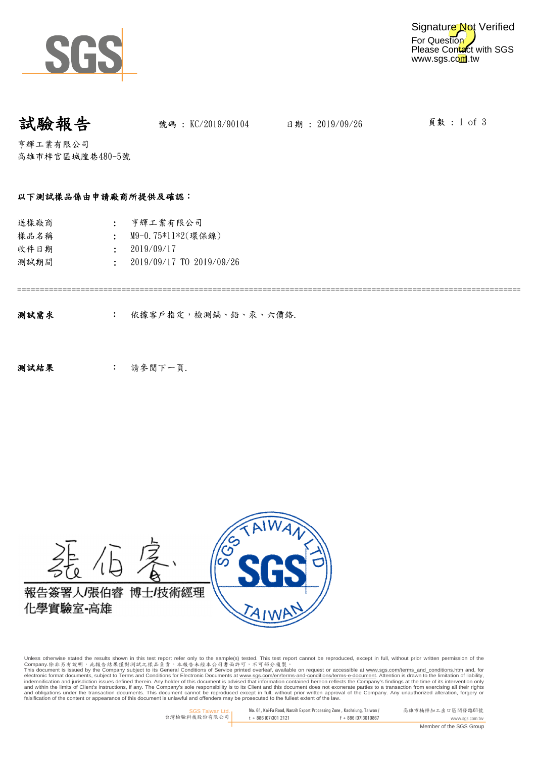

試驗報告 跳碼: KC/2019/90104 日期: 2019/09/26

頁數 : 1 of 3

亨輝工業有限公司 高雄市梓官區城隍巷480-5號

#### 以下測試樣品係由申請廠商所提供及確認:

| 送樣廠商 | : 亨輝工業有限公司                       |
|------|----------------------------------|
| 樣品名稱 | M9-0.75*11*2(環保鎳)                |
| 收件日期 | $\div$ 2019/09/17                |
| 測試期間 | $\cdot$ 2019/09/17 TO 2019/09/26 |
|      |                                  |

===================================================================================================================

: 依據客戶指定,檢測鎘、鉛、汞、六價鉻. 測試需求

: 测試結果 : 請參閱下一頁.

((၂)<br>(၁) 報告簽署人/張伯睿 博士/技術經理 化學實驗室-高雄

Unless otherwise stated the results shown in this test report refer only to the sample(s) tested. This test report cannot be reproduced, except in full, without prior written permission of the

Company.除非另有說明,此無告結果僅對測試之樣品負責。本報告未經本公司書面許可,不可部分複製。<br>This document is issued by the Company subject to its General Conditions for Service printed overleads, available on request or accessible at <u>www.sgs.com/terms\_and\_cond</u> falsification of the content or appearance of this document is unlawful and offenders may be prosecuted to the fullest extent of the law.

> SGS Taiwan Ltd. 台灣檢驗科技股份有限公司 No. 61, Kai-Fa Road, Nanzih Export Processing Zone , Kaohsiung, Taiwan /  $t + 886(07)301(2121)$  f + 886(07)3010867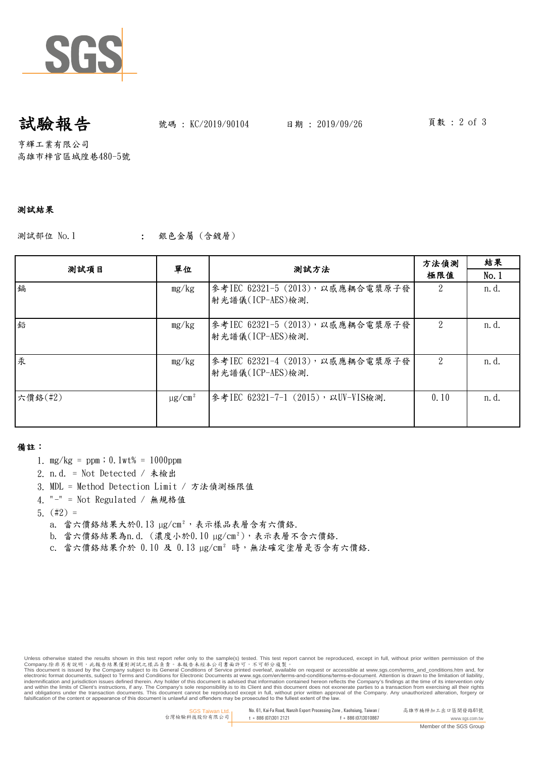

## 試驗報告 跳碼: KC/2019/90104 日期: 2019/09/26

頁數 : 2 of 3

亨輝工業有限公司 高雄市梓官區城隍巷480-5號

#### 測試結果

測試部位 No.1 (1) 1 3. 銀色金屬 (含鍍層)

| 测試項目    | 單位                      | 测試方法                                                 | 方法偵測<br>極限值 | 結果    |
|---------|-------------------------|------------------------------------------------------|-------------|-------|
|         |                         |                                                      |             | No.1  |
| 鎘       | mg/kg                   | 參考IEC 62321-5 (2013), 以感應耦合電漿原子發<br>射光譜儀(ICP-AES)檢測. |             | n. d. |
| 鉛       | mg/kg                   | 參考IEC 62321-5 (2013), 以感應耦合電漿原子發<br>射光譜儀(ICP-AES)檢測. |             | n. d. |
| 汞       | mg/kg                   | 參考IEC 62321-4 (2013), 以感應耦合電漿原子發<br>射光譜儀(ICP-AES)檢測. |             | n. d. |
| 六價鉻(#2) | $\mu$ g/cm <sup>2</sup> | 參考IEC 62321-7-1 (2015),以UV-VIS檢測.                    | 0.10        | n. d. |

#### 備註:

- 1. mg/kg = ppm;0.1wt% = 1000ppm
- 2. n.d. = Not Detected / 未檢出
- 3. MDL = Method Detection Limit / 方法偵測極限值
- 4. "-" = Not Regulated / 無規格值
- 5. (#2) =
	- a. 當六價絡結果大於 $0.13 \mu g/cm^2$ ,表示樣品表層含有六價鉻.
	- b. 當六價絡結果為n.d. (濃度小於 $0.10 \mu g/cm^2$ ),表示表層不含六價絡.
	- c. 當六價鉻結果介於 0.10 及 0.13 µg/cm² 時,無法確定塗層是否含有六價鉻.

Unless otherwise stated the results shown in this test report refer only to the sample(s) tested. This test report cannot be reproduced, except in full, without prior written permission of the

Company.除非另有說明,此無告結果僅對測試之樣品負責。本報告未經本公司書面許可,不可部分複製。<br>This document is issued by the Company subject to its General Conditions for Service printed overleads, available on request or accessible at <u>www.sgs.com/terms\_and\_cond</u> falsification of the content or appearance of this document is unlawful and offenders may be prosecuted to the fullest extent of the law.